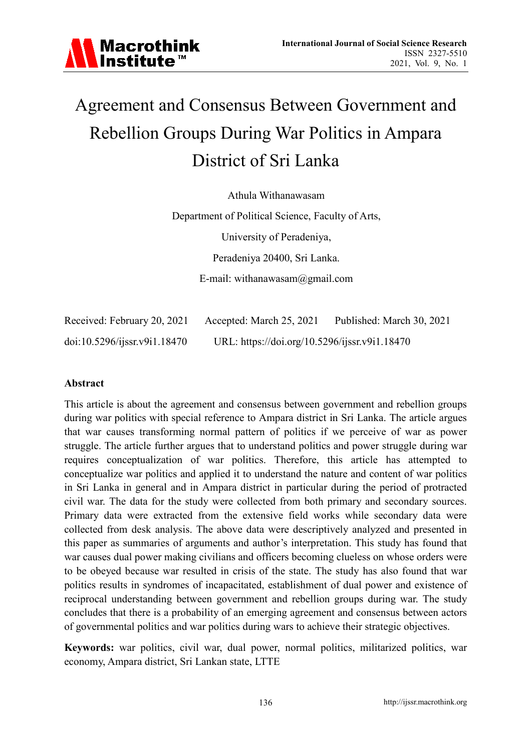# Agreement and Consensus Between Government and Rebellion Groups During War Politics in Ampara District of Sri Lanka

Athula Withanawasam

Department of Political Science, Faculty of Arts, University of Peradeniya, Peradeniya 20400, Sri Lanka. E-mail: withanawasam@gmail.com

| Received: February 20, 2021  | Accepted: March 25, 2021                      | Published: March 30, 2021 |
|------------------------------|-----------------------------------------------|---------------------------|
| doi:10.5296/jissr.v9i1.18470 | URL: https://doi.org/10.5296/ijssr.v9i1.18470 |                           |

### **Abstract**

This article is about the agreement and consensus between government and rebellion groups during war politics with special reference to Ampara district in Sri Lanka. The article argues that war causes transforming normal pattern of politics if we perceive of war as power struggle. The article further argues that to understand politics and power struggle during war requires conceptualization of war politics. Therefore, this article has attempted to conceptualize war politics and applied it to understand the nature and content of war politics in Sri Lanka in general and in Ampara district in particular during the period of protracted civil war. The data for the study were collected from both primary and secondary sources. Primary data were extracted from the extensive field works while secondary data were collected from desk analysis. The above data were descriptively analyzed and presented in this paper as summaries of arguments and author's interpretation. This study has found that war causes dual power making civilians and officers becoming clueless on whose orders were to be obeyed because war resulted in crisis of the state. The study has also found that war politics results in syndromes of incapacitated, establishment of dual power and existence of reciprocal understanding between government and rebellion groups during war. The study concludes that there is a probability of an emerging agreement and consensus between actors of governmental politics and war politics during wars to achieve their strategic objectives.

**Keywords:** war politics, civil war, dual power, normal politics, militarized politics, war economy, Ampara district, Sri Lankan state, LTTE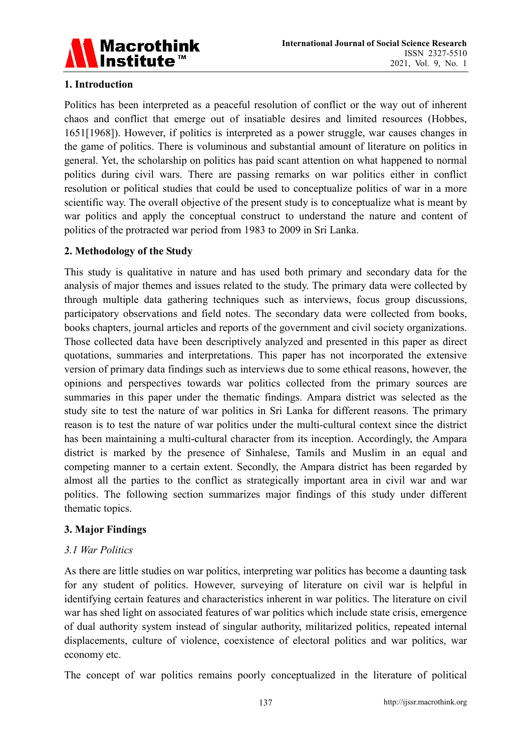

# **1. Introduction**

Politics has been interpreted as a peaceful resolution of conflict or the way out of inherent chaos and conflict that emerge out of insatiable desires and limited resources (Hobbes, 1651[1968]). However, if politics is interpreted as a power struggle, war causes changes in the game of politics. There is voluminous and substantial amount of literature on politics in general. Yet, the scholarship on politics has paid scant attention on what happened to normal politics during civil wars. There are passing remarks on war politics either in conflict resolution or political studies that could be used to conceptualize politics of war in a more scientific way. The overall objective of the present study is to conceptualize what is meant by war politics and apply the conceptual construct to understand the nature and content of politics of the protracted war period from 1983 to 2009 in Sri Lanka.

### **2. Methodology of the Study**

This study is qualitative in nature and has used both primary and secondary data for the analysis of major themes and issues related to the study. The primary data were collected by through multiple data gathering techniques such as interviews, focus group discussions, participatory observations and field notes. The secondary data were collected from books, books chapters, journal articles and reports of the government and civil society organizations. Those collected data have been descriptively analyzed and presented in this paper as direct quotations, summaries and interpretations. This paper has not incorporated the extensive version of primary data findings such as interviews due to some ethical reasons, however, the opinions and perspectives towards war politics collected from the primary sources are summaries in this paper under the thematic findings. Ampara district was selected as the study site to test the nature of war politics in Sri Lanka for different reasons. The primary reason is to test the nature of war politics under the multi-cultural context since the district has been maintaining a multi-cultural character from its inception. Accordingly, the Ampara district is marked by the presence of Sinhalese, Tamils and Muslim in an equal and competing manner to a certain extent. Secondly, the Ampara district has been regarded by almost all the parties to the conflict as strategically important area in civil war and war politics. The following section summarizes major findings of this study under different thematic topics.

### **3. Major Findings**

### *3.1 War Politics*

As there are little studies on war politics, interpreting war politics has become a daunting task for any student of politics. However, surveying of literature on civil war is helpful in identifying certain features and characteristics inherent in war politics. The literature on civil war has shed light on associated features of war politics which include state crisis, emergence of dual authority system instead of singular authority, militarized politics, repeated internal displacements, culture of violence, coexistence of electoral politics and war politics, war economy etc.

The concept of war politics remains poorly conceptualized in the literature of political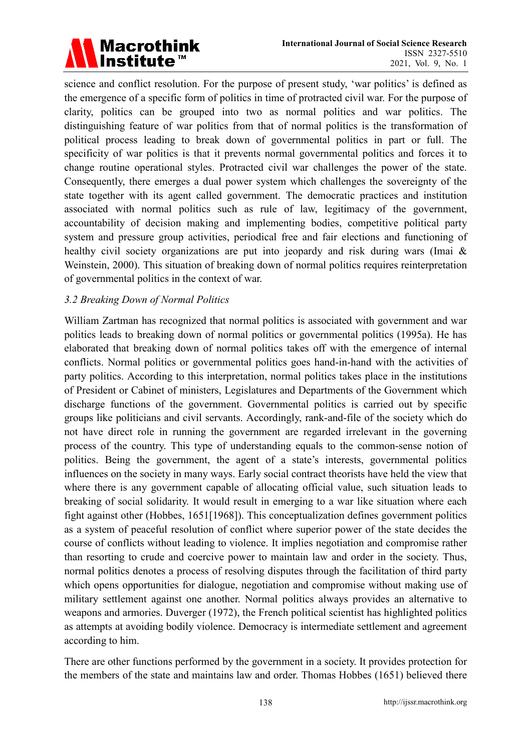

science and conflict resolution. For the purpose of present study, 'war politics' is defined as the emergence of a specific form of politics in time of protracted civil war. For the purpose of clarity, politics can be grouped into two as normal politics and war politics. The distinguishing feature of war politics from that of normal politics is the transformation of political process leading to break down of governmental politics in part or full. The specificity of war politics is that it prevents normal governmental politics and forces it to change routine operational styles. Protracted civil war challenges the power of the state. Consequently, there emerges a dual power system which challenges the sovereignty of the state together with its agent called government. The democratic practices and institution associated with normal politics such as rule of law, legitimacy of the government, accountability of decision making and implementing bodies, competitive political party system and pressure group activities, periodical free and fair elections and functioning of healthy civil society organizations are put into jeopardy and risk during wars (Imai & Weinstein, 2000). This situation of breaking down of normal politics requires reinterpretation of governmental politics in the context of war.

### *3.2 Breaking Down of Normal Politics*

William Zartman has recognized that normal politics is associated with government and war politics leads to breaking down of normal politics or governmental politics (1995a). He has elaborated that breaking down of normal politics takes off with the emergence of internal conflicts. Normal politics or governmental politics goes hand-in-hand with the activities of party politics. According to this interpretation, normal politics takes place in the institutions of President or Cabinet of ministers, Legislatures and Departments of the Government which discharge functions of the government. Governmental politics is carried out by specific groups like politicians and civil servants. Accordingly, rank-and-file of the society which do not have direct role in running the government are regarded irrelevant in the governing process of the country. This type of understanding equals to the common-sense notion of politics. Being the government, the agent of a state's interests, governmental politics influences on the society in many ways. Early social contract theorists have held the view that where there is any government capable of allocating official value, such situation leads to breaking of social solidarity. It would result in emerging to a war like situation where each fight against other (Hobbes, 1651[1968]). This conceptualization defines government politics as a system of peaceful resolution of conflict where superior power of the state decides the course of conflicts without leading to violence. It implies negotiation and compromise rather than resorting to crude and coercive power to maintain law and order in the society. Thus, normal politics denotes a process of resolving disputes through the facilitation of third party which opens opportunities for dialogue, negotiation and compromise without making use of military settlement against one another. Normal politics always provides an alternative to weapons and armories. Duverger (1972), the French political scientist has highlighted politics as attempts at avoiding bodily violence. Democracy is intermediate settlement and agreement according to him.

There are other functions performed by the government in a society. It provides protection for the members of the state and maintains law and order. Thomas Hobbes (1651) believed there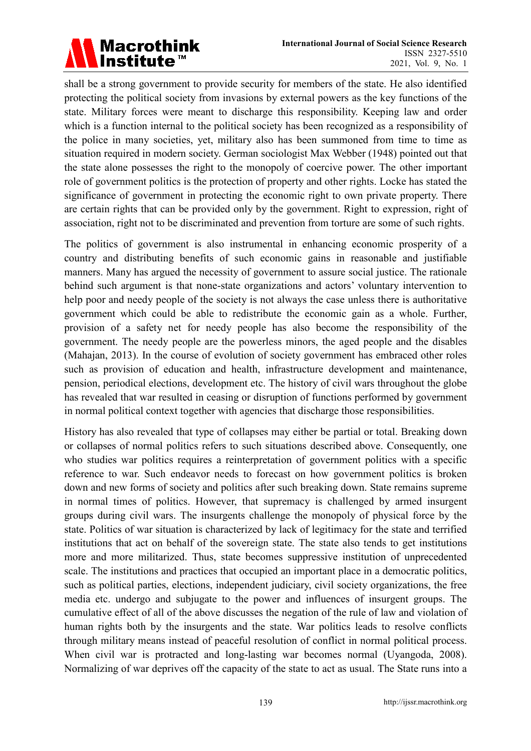

shall be a strong government to provide security for members of the state. He also identified protecting the political society from invasions by external powers as the key functions of the state. Military forces were meant to discharge this responsibility. Keeping law and order which is a function internal to the political society has been recognized as a responsibility of the police in many societies, yet, military also has been summoned from time to time as situation required in modern society. German sociologist Max Webber (1948) pointed out that the state alone possesses the right to the monopoly of coercive power. The other important role of government politics is the protection of property and other rights. Locke has stated the significance of government in protecting the economic right to own private property. There are certain rights that can be provided only by the government. Right to expression, right of association, right not to be discriminated and prevention from torture are some of such rights.

The politics of government is also instrumental in enhancing economic prosperity of a country and distributing benefits of such economic gains in reasonable and justifiable manners. Many has argued the necessity of government to assure social justice. The rationale behind such argument is that none-state organizations and actors' voluntary intervention to help poor and needy people of the society is not always the case unless there is authoritative government which could be able to redistribute the economic gain as a whole. Further, provision of a safety net for needy people has also become the responsibility of the government. The needy people are the powerless minors, the aged people and the disables (Mahajan, 2013). In the course of evolution of society government has embraced other roles such as provision of education and health, infrastructure development and maintenance, pension, periodical elections, development etc. The history of civil wars throughout the globe has revealed that war resulted in ceasing or disruption of functions performed by government in normal political context together with agencies that discharge those responsibilities.

History has also revealed that type of collapses may either be partial or total. Breaking down or collapses of normal politics refers to such situations described above. Consequently, one who studies war politics requires a reinterpretation of government politics with a specific reference to war. Such endeavor needs to forecast on how government politics is broken down and new forms of society and politics after such breaking down. State remains supreme in normal times of politics. However, that supremacy is challenged by armed insurgent groups during civil wars. The insurgents challenge the monopoly of physical force by the state. Politics of war situation is characterized by lack of legitimacy for the state and terrified institutions that act on behalf of the sovereign state. The state also tends to get institutions more and more militarized. Thus, state becomes suppressive institution of unprecedented scale. The institutions and practices that occupied an important place in a democratic politics, such as political parties, elections, independent judiciary, civil society organizations, the free media etc. undergo and subjugate to the power and influences of insurgent groups. The cumulative effect of all of the above discusses the negation of the rule of law and violation of human rights both by the insurgents and the state. War politics leads to resolve conflicts through military means instead of peaceful resolution of conflict in normal political process. When civil war is protracted and long-lasting war becomes normal (Uyangoda, 2008). Normalizing of war deprives off the capacity of the state to act as usual. The State runs into a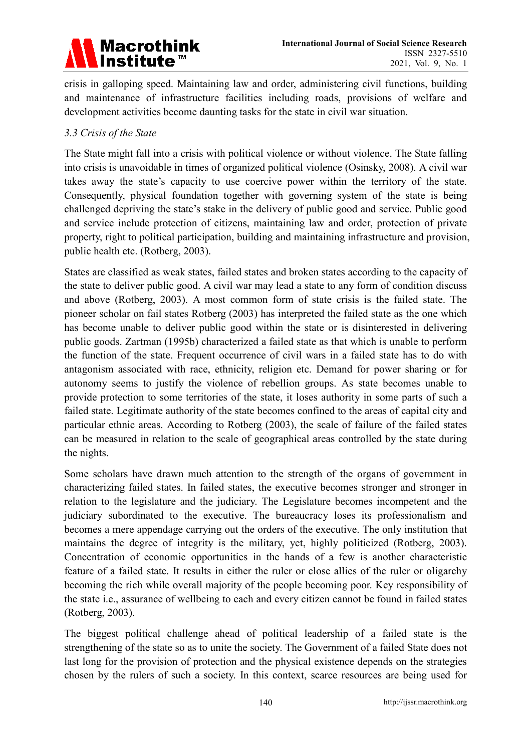

crisis in galloping speed. Maintaining law and order, administering civil functions, building and maintenance of infrastructure facilities including roads, provisions of welfare and development activities become daunting tasks for the state in civil war situation.

### *3.3 Crisis of the State*

The State might fall into a crisis with political violence or without violence. The State falling into crisis is unavoidable in times of organized political violence (Osinsky, 2008). A civil war takes away the state's capacity to use coercive power within the territory of the state. Consequently, physical foundation together with governing system of the state is being challenged depriving the state's stake in the delivery of public good and service. Public good and service include protection of citizens, maintaining law and order, protection of private property, right to political participation, building and maintaining infrastructure and provision, public health etc. (Rotberg, 2003).

States are classified as weak states, failed states and broken states according to the capacity of the state to deliver public good. A civil war may lead a state to any form of condition discuss and above (Rotberg, 2003). A most common form of state crisis is the failed state. The pioneer scholar on fail states Rotberg (2003) has interpreted the failed state as the one which has become unable to deliver public good within the state or is disinterested in delivering public goods. Zartman (1995b) characterized a failed state as that which is unable to perform the function of the state. Frequent occurrence of civil wars in a failed state has to do with antagonism associated with race, ethnicity, religion etc. Demand for power sharing or for autonomy seems to justify the violence of rebellion groups. As state becomes unable to provide protection to some territories of the state, it loses authority in some parts of such a failed state. Legitimate authority of the state becomes confined to the areas of capital city and particular ethnic areas. According to Rotberg (2003), the scale of failure of the failed states can be measured in relation to the scale of geographical areas controlled by the state during the nights.

Some scholars have drawn much attention to the strength of the organs of government in characterizing failed states. In failed states, the executive becomes stronger and stronger in relation to the legislature and the judiciary. The Legislature becomes incompetent and the judiciary subordinated to the executive. The bureaucracy loses its professionalism and becomes a mere appendage carrying out the orders of the executive. The only institution that maintains the degree of integrity is the military, yet, highly politicized (Rotberg, 2003). Concentration of economic opportunities in the hands of a few is another characteristic feature of a failed state. It results in either the ruler or close allies of the ruler or oligarchy becoming the rich while overall majority of the people becoming poor. Key responsibility of the state i.e., assurance of wellbeing to each and every citizen cannot be found in failed states (Rotberg, 2003).

The biggest political challenge ahead of political leadership of a failed state is the strengthening of the state so as to unite the society. The Government of a failed State does not last long for the provision of protection and the physical existence depends on the strategies chosen by the rulers of such a society. In this context, scarce resources are being used for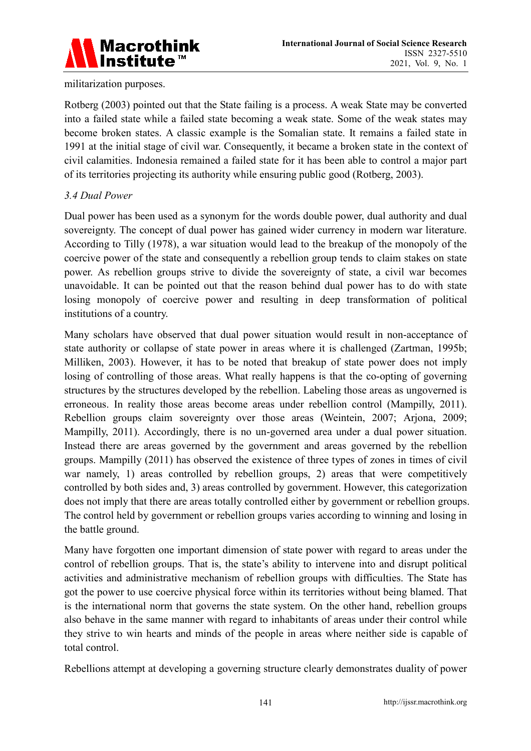

### militarization purposes.

Rotberg (2003) pointed out that the State failing is a process. A weak State may be converted into a failed state while a failed state becoming a weak state. Some of the weak states may become broken states. A classic example is the Somalian state. It remains a failed state in 1991 at the initial stage of civil war. Consequently, it became a broken state in the context of civil calamities. Indonesia remained a failed state for it has been able to control a major part of its territories projecting its authority while ensuring public good (Rotberg, 2003).

### *3.4 Dual Power*

Dual power has been used as a synonym for the words double power, dual authority and dual sovereignty. The concept of dual power has gained wider currency in modern war literature. According to Tilly (1978), a war situation would lead to the breakup of the monopoly of the coercive power of the state and consequently a rebellion group tends to claim stakes on state power. As rebellion groups strive to divide the sovereignty of state, a civil war becomes unavoidable. It can be pointed out that the reason behind dual power has to do with state losing monopoly of coercive power and resulting in deep transformation of political institutions of a country.

Many scholars have observed that dual power situation would result in non-acceptance of state authority or collapse of state power in areas where it is challenged (Zartman, 1995b; Milliken, 2003). However, it has to be noted that breakup of state power does not imply losing of controlling of those areas. What really happens is that the co-opting of governing structures by the structures developed by the rebellion. Labeling those areas as ungoverned is erroneous. In reality those areas become areas under rebellion control (Mampilly, 2011). Rebellion groups claim sovereignty over those areas (Weintein, 2007; Arjona, 2009; Mampilly, 2011). Accordingly, there is no un-governed area under a dual power situation. Instead there are areas governed by the government and areas governed by the rebellion groups. Mampilly (2011) has observed the existence of three types of zones in times of civil war namely, 1) areas controlled by rebellion groups, 2) areas that were competitively controlled by both sides and, 3) areas controlled by government. However, this categorization does not imply that there are areas totally controlled either by government or rebellion groups. The control held by government or rebellion groups varies according to winning and losing in the battle ground.

Many have forgotten one important dimension of state power with regard to areas under the control of rebellion groups. That is, the state's ability to intervene into and disrupt political activities and administrative mechanism of rebellion groups with difficulties. The State has got the power to use coercive physical force within its territories without being blamed. That is the international norm that governs the state system. On the other hand, rebellion groups also behave in the same manner with regard to inhabitants of areas under their control while they strive to win hearts and minds of the people in areas where neither side is capable of total control.

Rebellions attempt at developing a governing structure clearly demonstrates duality of power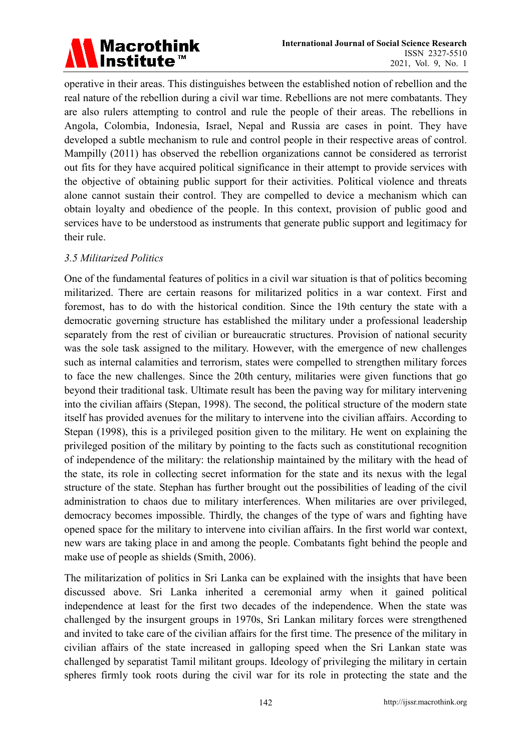# Macrothink<br>Institute™

operative in their areas. This distinguishes between the established notion of rebellion and the real nature of the rebellion during a civil war time. Rebellions are not mere combatants. They are also rulers attempting to control and rule the people of their areas. The rebellions in Angola, Colombia, Indonesia, Israel, Nepal and Russia are cases in point. They have developed a subtle mechanism to rule and control people in their respective areas of control. Mampilly (2011) has observed the rebellion organizations cannot be considered as terrorist out fits for they have acquired political significance in their attempt to provide services with the objective of obtaining public support for their activities. Political violence and threats alone cannot sustain their control. They are compelled to device a mechanism which can obtain loyalty and obedience of the people. In this context, provision of public good and services have to be understood as instruments that generate public support and legitimacy for their rule.

### *3.5 Militarized Politics*

One of the fundamental features of politics in a civil war situation is that of politics becoming militarized. There are certain reasons for militarized politics in a war context. First and foremost, has to do with the historical condition. Since the 19th century the state with a democratic governing structure has established the military under a professional leadership separately from the rest of civilian or bureaucratic structures. Provision of national security was the sole task assigned to the military. However, with the emergence of new challenges such as internal calamities and terrorism, states were compelled to strengthen military forces to face the new challenges. Since the 20th century, militaries were given functions that go beyond their traditional task. Ultimate result has been the paving way for military intervening into the civilian affairs (Stepan, 1998). The second, the political structure of the modern state itself has provided avenues for the military to intervene into the civilian affairs. According to Stepan (1998), this is a privileged position given to the military. He went on explaining the privileged position of the military by pointing to the facts such as constitutional recognition of independence of the military: the relationship maintained by the military with the head of the state, its role in collecting secret information for the state and its nexus with the legal structure of the state. Stephan has further brought out the possibilities of leading of the civil administration to chaos due to military interferences. When militaries are over privileged, democracy becomes impossible. Thirdly, the changes of the type of wars and fighting have opened space for the military to intervene into civilian affairs. In the first world war context, new wars are taking place in and among the people. Combatants fight behind the people and make use of people as shields (Smith, 2006).

The militarization of politics in Sri Lanka can be explained with the insights that have been discussed above. Sri Lanka inherited a ceremonial army when it gained political independence at least for the first two decades of the independence. When the state was challenged by the insurgent groups in 1970s, Sri Lankan military forces were strengthened and invited to take care of the civilian affairs for the first time. The presence of the military in civilian affairs of the state increased in galloping speed when the Sri Lankan state was challenged by separatist Tamil militant groups. Ideology of privileging the military in certain spheres firmly took roots during the civil war for its role in protecting the state and the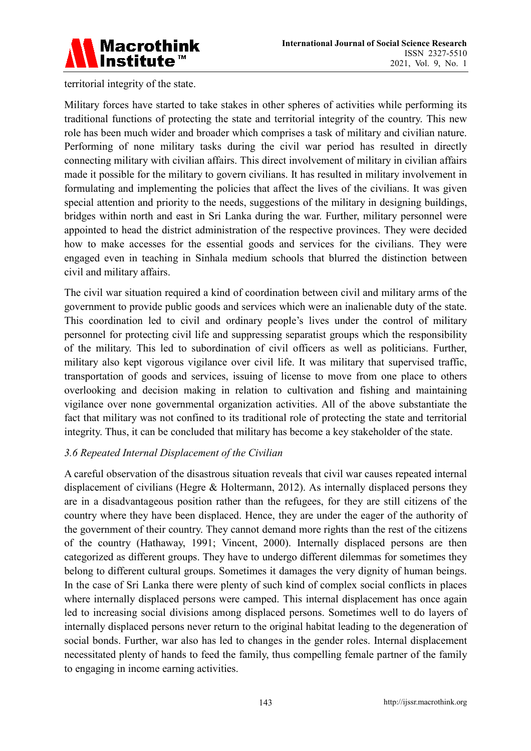

territorial integrity of the state.

Military forces have started to take stakes in other spheres of activities while performing its traditional functions of protecting the state and territorial integrity of the country. This new role has been much wider and broader which comprises a task of military and civilian nature. Performing of none military tasks during the civil war period has resulted in directly connecting military with civilian affairs. This direct involvement of military in civilian affairs made it possible for the military to govern civilians. It has resulted in military involvement in formulating and implementing the policies that affect the lives of the civilians. It was given special attention and priority to the needs, suggestions of the military in designing buildings, bridges within north and east in Sri Lanka during the war. Further, military personnel were appointed to head the district administration of the respective provinces. They were decided how to make accesses for the essential goods and services for the civilians. They were engaged even in teaching in Sinhala medium schools that blurred the distinction between civil and military affairs.

The civil war situation required a kind of coordination between civil and military arms of the government to provide public goods and services which were an inalienable duty of the state. This coordination led to civil and ordinary people's lives under the control of military personnel for protecting civil life and suppressing separatist groups which the responsibility of the military. This led to subordination of civil officers as well as politicians. Further, military also kept vigorous vigilance over civil life. It was military that supervised traffic, transportation of goods and services, issuing of license to move from one place to others overlooking and decision making in relation to cultivation and fishing and maintaining vigilance over none governmental organization activities. All of the above substantiate the fact that military was not confined to its traditional role of protecting the state and territorial integrity. Thus, it can be concluded that military has become a key stakeholder of the state.

### *3.6 Repeated Internal Displacement of the Civilian*

A careful observation of the disastrous situation reveals that civil war causes repeated internal displacement of civilians (Hegre & Holtermann, 2012). As internally displaced persons they are in a disadvantageous position rather than the refugees, for they are still citizens of the country where they have been displaced. Hence, they are under the eager of the authority of the government of their country. They cannot demand more rights than the rest of the citizens of the country (Hathaway, 1991; Vincent, 2000). Internally displaced persons are then categorized as different groups. They have to undergo different dilemmas for sometimes they belong to different cultural groups. Sometimes it damages the very dignity of human beings. In the case of Sri Lanka there were plenty of such kind of complex social conflicts in places where internally displaced persons were camped. This internal displacement has once again led to increasing social divisions among displaced persons. Sometimes well to do layers of internally displaced persons never return to the original habitat leading to the degeneration of social bonds. Further, war also has led to changes in the gender roles. Internal displacement necessitated plenty of hands to feed the family, thus compelling female partner of the family to engaging in income earning activities.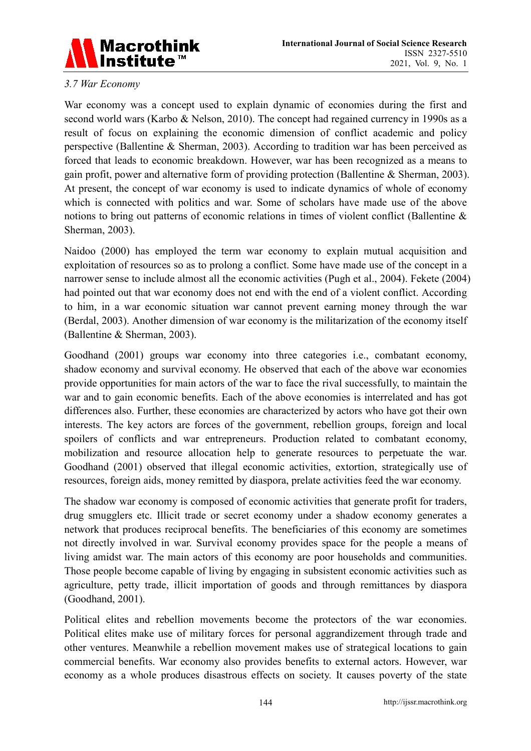

# *3.7 War Economy*

War economy was a concept used to explain dynamic of economies during the first and second world wars (Karbo & Nelson, 2010). The concept had regained currency in 1990s as a result of focus on explaining the economic dimension of conflict academic and policy perspective (Ballentine & Sherman, 2003). According to tradition war has been perceived as forced that leads to economic breakdown. However, war has been recognized as a means to gain profit, power and alternative form of providing protection (Ballentine & Sherman, 2003). At present, the concept of war economy is used to indicate dynamics of whole of economy which is connected with politics and war. Some of scholars have made use of the above notions to bring out patterns of economic relations in times of violent conflict (Ballentine & Sherman, 2003).

Naidoo (2000) has employed the term war economy to explain mutual acquisition and exploitation of resources so as to prolong a conflict. Some have made use of the concept in a narrower sense to include almost all the economic activities (Pugh et al., 2004). Fekete (2004) had pointed out that war economy does not end with the end of a violent conflict. According to him, in a war economic situation war cannot prevent earning money through the war (Berdal, 2003). Another dimension of war economy is the militarization of the economy itself (Ballentine & Sherman, 2003).

Goodhand (2001) groups war economy into three categories i.e., combatant economy, shadow economy and survival economy. He observed that each of the above war economies provide opportunities for main actors of the war to face the rival successfully, to maintain the war and to gain economic benefits. Each of the above economies is interrelated and has got differences also. Further, these economies are characterized by actors who have got their own interests. The key actors are forces of the government, rebellion groups, foreign and local spoilers of conflicts and war entrepreneurs. Production related to combatant economy, mobilization and resource allocation help to generate resources to perpetuate the war. Goodhand (2001) observed that illegal economic activities, extortion, strategically use of resources, foreign aids, money remitted by diaspora, prelate activities feed the war economy.

The shadow war economy is composed of economic activities that generate profit for traders, drug smugglers etc. Illicit trade or secret economy under a shadow economy generates a network that produces reciprocal benefits. The beneficiaries of this economy are sometimes not directly involved in war. Survival economy provides space for the people a means of living amidst war. The main actors of this economy are poor households and communities. Those people become capable of living by engaging in subsistent economic activities such as agriculture, petty trade, illicit importation of goods and through remittances by diaspora (Goodhand, 2001).

Political elites and rebellion movements become the protectors of the war economies. Political elites make use of military forces for personal aggrandizement through trade and other ventures. Meanwhile a rebellion movement makes use of strategical locations to gain commercial benefits. War economy also provides benefits to external actors. However, war economy as a whole produces disastrous effects on society. It causes poverty of the state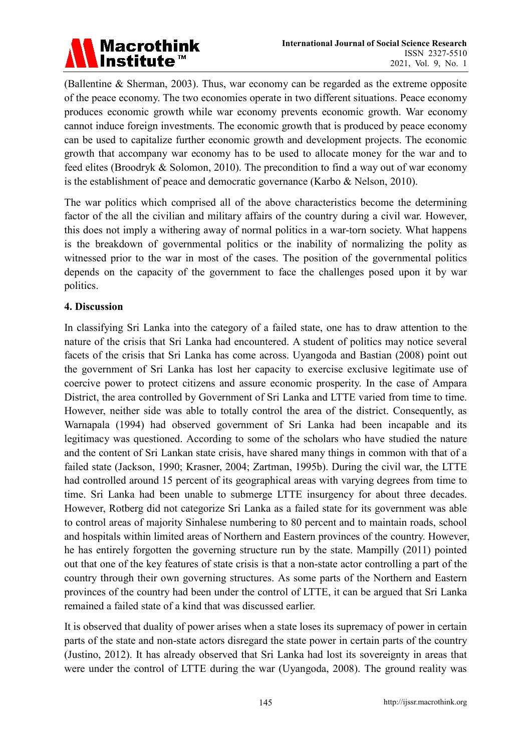

(Ballentine & Sherman, 2003). Thus, war economy can be regarded as the extreme opposite of the peace economy. The two economies operate in two different situations. Peace economy produces economic growth while war economy prevents economic growth. War economy cannot induce foreign investments. The economic growth that is produced by peace economy can be used to capitalize further economic growth and development projects. The economic growth that accompany war economy has to be used to allocate money for the war and to feed elites (Broodryk & Solomon, 2010). The precondition to find a way out of war economy is the establishment of peace and democratic governance (Karbo & Nelson, 2010).

The war politics which comprised all of the above characteristics become the determining factor of the all the civilian and military affairs of the country during a civil war. However, this does not imply a withering away of normal politics in a war-torn society. What happens is the breakdown of governmental politics or the inability of normalizing the polity as witnessed prior to the war in most of the cases. The position of the governmental politics depends on the capacity of the government to face the challenges posed upon it by war politics.

### **4. Discussion**

In classifying Sri Lanka into the category of a failed state, one has to draw attention to the nature of the crisis that Sri Lanka had encountered. A student of politics may notice several facets of the crisis that Sri Lanka has come across. Uyangoda and Bastian (2008) point out the government of Sri Lanka has lost her capacity to exercise exclusive legitimate use of coercive power to protect citizens and assure economic prosperity. In the case of Ampara District, the area controlled by Government of Sri Lanka and LTTE varied from time to time. However, neither side was able to totally control the area of the district. Consequently, as Warnapala (1994) had observed government of Sri Lanka had been incapable and its legitimacy was questioned. According to some of the scholars who have studied the nature and the content of Sri Lankan state crisis, have shared many things in common with that of a failed state (Jackson, 1990; Krasner, 2004; Zartman, 1995b). During the civil war, the LTTE had controlled around 15 percent of its geographical areas with varying degrees from time to time. Sri Lanka had been unable to submerge LTTE insurgency for about three decades. However, Rotberg did not categorize Sri Lanka as a failed state for its government was able to control areas of majority Sinhalese numbering to 80 percent and to maintain roads, school and hospitals within limited areas of Northern and Eastern provinces of the country. However, he has entirely forgotten the governing structure run by the state. Mampilly (2011) pointed out that one of the key features of state crisis is that a non-state actor controlling a part of the country through their own governing structures. As some parts of the Northern and Eastern provinces of the country had been under the control of LTTE, it can be argued that Sri Lanka remained a failed state of a kind that was discussed earlier.

It is observed that duality of power arises when a state loses its supremacy of power in certain parts of the state and non-state actors disregard the state power in certain parts of the country (Justino, 2012). It has already observed that Sri Lanka had lost its sovereignty in areas that were under the control of LTTE during the war (Uyangoda, 2008). The ground reality was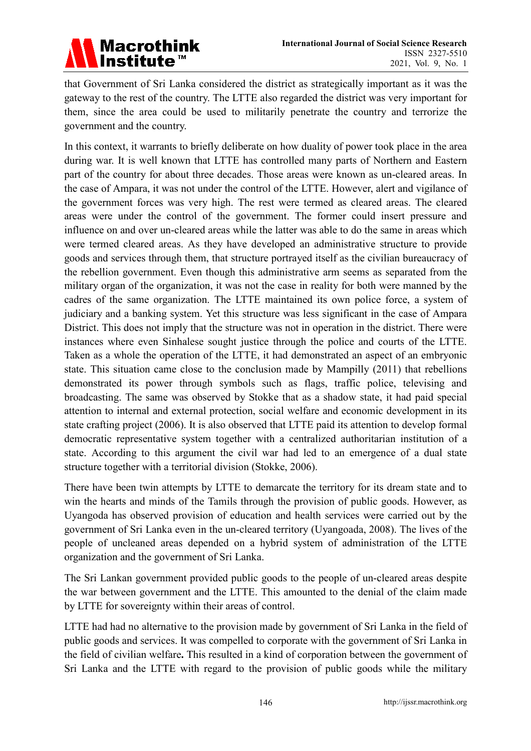

that Government of Sri Lanka considered the district as strategically important as it was the gateway to the rest of the country. The LTTE also regarded the district was very important for them, since the area could be used to militarily penetrate the country and terrorize the government and the country.

In this context, it warrants to briefly deliberate on how duality of power took place in the area during war. It is well known that LTTE has controlled many parts of Northern and Eastern part of the country for about three decades. Those areas were known as un-cleared areas. In the case of Ampara, it was not under the control of the LTTE. However, alert and vigilance of the government forces was very high. The rest were termed as cleared areas. The cleared areas were under the control of the government. The former could insert pressure and influence on and over un-cleared areas while the latter was able to do the same in areas which were termed cleared areas. As they have developed an administrative structure to provide goods and services through them, that structure portrayed itself as the civilian bureaucracy of the rebellion government. Even though this administrative arm seems as separated from the military organ of the organization, it was not the case in reality for both were manned by the cadres of the same organization. The LTTE maintained its own police force, a system of judiciary and a banking system. Yet this structure was less significant in the case of Ampara District. This does not imply that the structure was not in operation in the district. There were instances where even Sinhalese sought justice through the police and courts of the LTTE. Taken as a whole the operation of the LTTE, it had demonstrated an aspect of an embryonic state. This situation came close to the conclusion made by Mampilly (2011) that rebellions demonstrated its power through symbols such as flags, traffic police, televising and broadcasting. The same was observed by Stokke that as a shadow state, it had paid special attention to internal and external protection, social welfare and economic development in its state crafting project (2006). It is also observed that LTTE paid its attention to develop formal democratic representative system together with a centralized authoritarian institution of a state. According to this argument the civil war had led to an emergence of a dual state structure together with a territorial division (Stokke, 2006).

There have been twin attempts by LTTE to demarcate the territory for its dream state and to win the hearts and minds of the Tamils through the provision of public goods. However, as Uyangoda has observed provision of education and health services were carried out by the government of Sri Lanka even in the un-cleared territory (Uyangoada, 2008). The lives of the people of uncleaned areas depended on a hybrid system of administration of the LTTE organization and the government of Sri Lanka.

The Sri Lankan government provided public goods to the people of un-cleared areas despite the war between government and the LTTE. This amounted to the denial of the claim made by LTTE for sovereignty within their areas of control.

LTTE had had no alternative to the provision made by government of Sri Lanka in the field of public goods and services. It was compelled to corporate with the government of Sri Lanka in the field of civilian welfare**.** This resulted in a kind of corporation between the government of Sri Lanka and the LTTE with regard to the provision of public goods while the military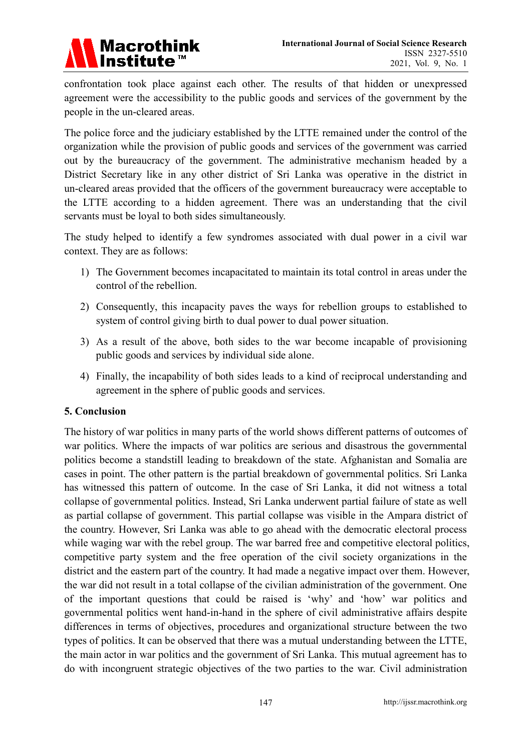

confrontation took place against each other. The results of that hidden or unexpressed agreement were the accessibility to the public goods and services of the government by the people in the un-cleared areas.

The police force and the judiciary established by the LTTE remained under the control of the organization while the provision of public goods and services of the government was carried out by the bureaucracy of the government. The administrative mechanism headed by a District Secretary like in any other district of Sri Lanka was operative in the district in un-cleared areas provided that the officers of the government bureaucracy were acceptable to the LTTE according to a hidden agreement. There was an understanding that the civil servants must be loyal to both sides simultaneously.

The study helped to identify a few syndromes associated with dual power in a civil war context. They are as follows:

- 1) The Government becomes incapacitated to maintain its total control in areas under the control of the rebellion.
- 2) Consequently, this incapacity paves the ways for rebellion groups to established to system of control giving birth to dual power to dual power situation.
- 3) As a result of the above, both sides to the war become incapable of provisioning public goods and services by individual side alone.
- 4) Finally, the incapability of both sides leads to a kind of reciprocal understanding and agreement in the sphere of public goods and services.

### **5. Conclusion**

The history of war politics in many parts of the world shows different patterns of outcomes of war politics. Where the impacts of war politics are serious and disastrous the governmental politics become a standstill leading to breakdown of the state. Afghanistan and Somalia are cases in point. The other pattern is the partial breakdown of governmental politics. Sri Lanka has witnessed this pattern of outcome. In the case of Sri Lanka, it did not witness a total collapse of governmental politics. Instead, Sri Lanka underwent partial failure of state as well as partial collapse of government. This partial collapse was visible in the Ampara district of the country. However, Sri Lanka was able to go ahead with the democratic electoral process while waging war with the rebel group. The war barred free and competitive electoral politics, competitive party system and the free operation of the civil society organizations in the district and the eastern part of the country. It had made a negative impact over them. However, the war did not result in a total collapse of the civilian administration of the government. One of the important questions that could be raised is 'why' and 'how' war politics and governmental politics went hand-in-hand in the sphere of civil administrative affairs despite differences in terms of objectives, procedures and organizational structure between the two types of politics. It can be observed that there was a mutual understanding between the LTTE, the main actor in war politics and the government of Sri Lanka. This mutual agreement has to do with incongruent strategic objectives of the two parties to the war. Civil administration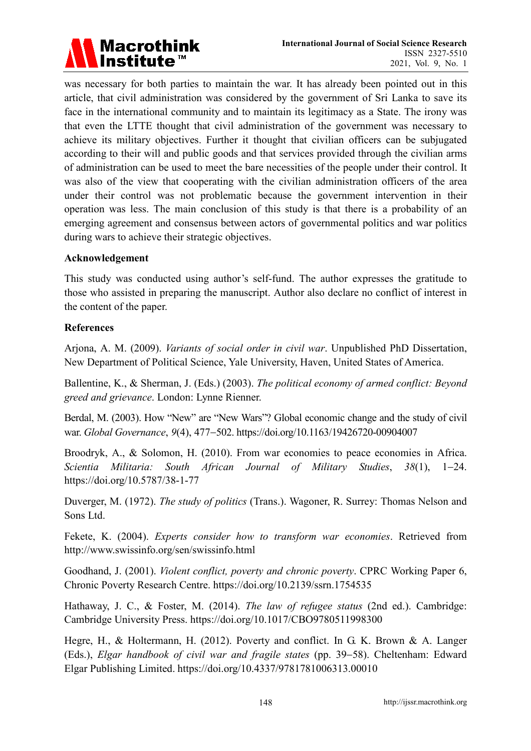

was necessary for both parties to maintain the war. It has already been pointed out in this article, that civil administration was considered by the government of Sri Lanka to save its face in the international community and to maintain its legitimacy as a State. The irony was that even the LTTE thought that civil administration of the government was necessary to achieve its military objectives. Further it thought that civilian officers can be subjugated according to their will and public goods and that services provided through the civilian arms of administration can be used to meet the bare necessities of the people under their control. It was also of the view that cooperating with the civilian administration officers of the area under their control was not problematic because the government intervention in their operation was less. The main conclusion of this study is that there is a probability of an emerging agreement and consensus between actors of governmental politics and war politics during wars to achieve their strategic objectives.

#### **Acknowledgement**

This study was conducted using author's self-fund. The author expresses the gratitude to those who assisted in preparing the manuscript. Author also declare no conflict of interest in the content of the paper.

### **References**

Arjona, A. M. (2009). *Variants of social order in civil war*. Unpublished PhD Dissertation, New Department of Political Science, Yale University, Haven, United States of America.

Ballentine, K., & Sherman, J. (Eds.) (2003). *The political economy of armed conflict: Beyond greed and grievance*. London: Lynne Rienner.

Berdal, M. (2003). How "New" are "New Wars"? Global economic change and the study of civil war. *Global Governance*, *9*(4), 477−502. https://doi.org/10.1163/19426720-00904007

Broodryk, A., & Solomon, H. (2010). From war economies to peace economies in Africa. *Scientia Militaria: South African Journal of Military Studies*, *38*(1), 1−24. https://doi.org/10.5787/38-1-77

Duverger, M. (1972). *The study of politics* (Trans.). Wagoner, R. Surrey: Thomas Nelson and Sons Ltd.

Fekete, K. (2004). *Experts consider how to transform war economies*. Retrieved from http://www.swissinfo.org/sen/swissinfo.html

Goodhand, J. (2001). *Violent conflict, poverty and chronic poverty*. CPRC Working Paper 6, Chronic Poverty Research Centre. https://doi.org/10.2139/ssrn.1754535

Hathaway, J. C., & Foster, M. (2014). *The law of refugee status* (2nd ed.). Cambridge: Cambridge University Press. https://doi.org/10.1017/CBO9780511998300

Hegre, H., & Holtermann, H. (2012). Poverty and conflict. In G. K. Brown & A. Langer (Eds.), *Elgar handbook of civil war and fragile states* (pp. 39−58). Cheltenham: Edward Elgar Publishing Limited. https://doi.org/10.4337/9781781006313.00010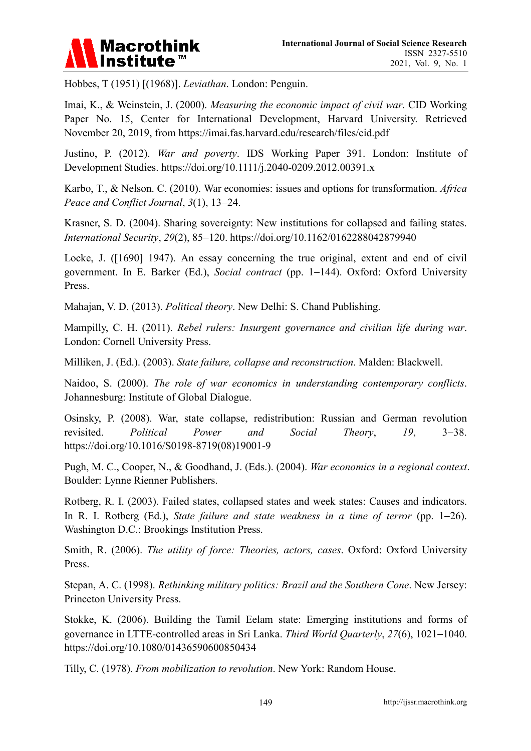

Hobbes, T (1951) [(1968)]. *Leviathan*. London: Penguin.

Imai, K., & Weinstein, J. (2000). *Measuring the economic impact of civil war*. CID Working Paper No. 15, Center for International Development, Harvard University. Retrieved November 20, 2019, from https://imai.fas.harvard.edu/research/files/cid.pdf

Justino, P. (2012). *War and poverty*. IDS Working Paper 391. London: Institute of Development Studies. https://doi.org/10.1111/j.2040-0209.2012.00391.x

Karbo, T., & Nelson. C. (2010). War economies: issues and options for transformation. *Africa Peace and Conflict Journal*, *3*(1), 13−24.

Krasner, S. D. (2004). Sharing sovereignty: New institutions for collapsed and failing states. *International Security*, *29*(2), 85−120. https://doi.org/10.1162/0162288042879940

Locke, J. ([1690] 1947). An essay concerning the true original, extent and end of civil government. In E. Barker (Ed.), *Social contract* (pp. 1−144). Oxford: Oxford University Press.

Mahajan, V. D. (2013). *Political theory*. New Delhi: S. Chand Publishing.

Mampilly, C. H. (2011). *Rebel rulers: Insurgent governance and civilian life during war*. London: Cornell University Press.

Milliken, J. (Ed.). (2003). *State failure, collapse and reconstruction*. Malden: Blackwell.

Naidoo, S. (2000). *The role of war economics in understanding contemporary conflicts*. Johannesburg: Institute of Global Dialogue.

Osinsky, P. (2008). War, state collapse, redistribution: Russian and German revolution revisited. *Political Power and Social Theory*, *19*, 3−38. https://doi.org/10.1016/S0198-8719(08)19001-9

Pugh, M. C., Cooper, N., & Goodhand, J. (Eds.). (2004). *War economics in a regional context*. Boulder: Lynne Rienner Publishers.

Rotberg, R. I. (2003). Failed states, collapsed states and week states: Causes and indicators. In R. I. Rotberg (Ed.), *State failure and state weakness in a time of terror* (pp. 1−26). Washington D.C.: Brookings Institution Press.

Smith, R. (2006). *The utility of force: Theories, actors, cases*. Oxford: Oxford University Press.

Stepan, A. C. (1998). *Rethinking military politics: Brazil and the Southern Cone*. New Jersey: Princeton University Press.

Stokke, K. (2006). Building the Tamil Eelam state: Emerging institutions and forms of governance in LTTE-controlled areas in Sri Lanka. *Third World Quarterly*, *27*(6), 1021−1040. https://doi.org/10.1080/01436590600850434

Tilly, C. (1978). *From mobilization to revolution*. New York: Random House.